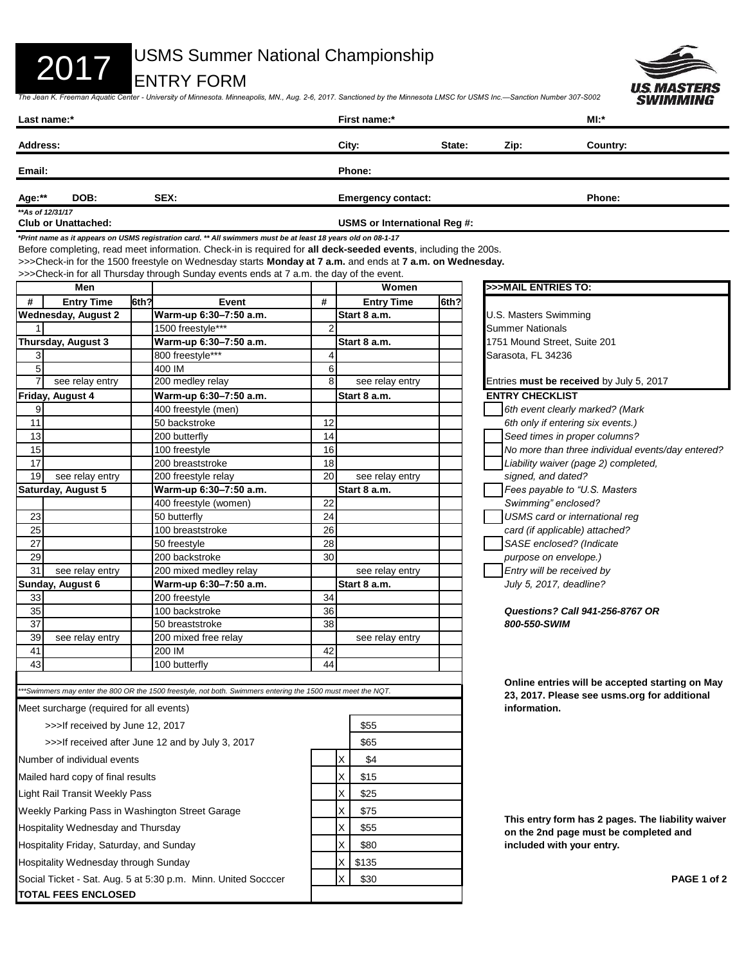## USMS Summer National Championship

ENTRY FORM

2017

*The Jean K. Freeman Aquatic Center - University of Minnesota. Minneapolis, MN., Aug. 2-6, 2017. Sanctioned by the Minnesota LMSC for USMS Inc.—Sanction Number 307-S002*



| Last name:*                                      |                                                 |      |                                                                                                                                                                                                                                 |                 | First name:*                 |        |                              | MI:*                                              |  |
|--------------------------------------------------|-------------------------------------------------|------|---------------------------------------------------------------------------------------------------------------------------------------------------------------------------------------------------------------------------------|-----------------|------------------------------|--------|------------------------------|---------------------------------------------------|--|
| <b>Address:</b>                                  |                                                 |      |                                                                                                                                                                                                                                 |                 | City:                        | State: | Zip:                         | Country:                                          |  |
| Email:                                           |                                                 |      |                                                                                                                                                                                                                                 |                 | Phone:                       |        |                              |                                                   |  |
| Age:**                                           | DOB:                                            |      | SEX:                                                                                                                                                                                                                            |                 | <b>Emergency contact:</b>    |        |                              | Phone:                                            |  |
|                                                  | ** As of 12/31/17<br><b>Club or Unattached:</b> |      |                                                                                                                                                                                                                                 |                 | USMS or International Reg #: |        |                              |                                                   |  |
|                                                  |                                                 |      | *Print name as it appears on USMS registration card. ** All swimmers must be at least 18 years old on 08-1-17<br>Before completing, read meet information. Check-in is required for all deck-seeded events, including the 200s. |                 |                              |        |                              |                                                   |  |
|                                                  |                                                 |      | >>>Check-in for the 1500 freestyle on Wednesday starts Monday at 7 a.m. and ends at 7 a.m. on Wednesday.<br>>>>Check-in for all Thursday through Sunday events ends at 7 a.m. the day of the event.                             |                 |                              |        |                              |                                                   |  |
|                                                  | Men                                             |      |                                                                                                                                                                                                                                 |                 | Women                        |        | >>>MAIL ENTRIES TO:          |                                                   |  |
| #                                                | <b>Entry Time</b>                               | 6th? | Event                                                                                                                                                                                                                           | #               | <b>Entry Time</b>            | 6th?   |                              |                                                   |  |
|                                                  | <b>Wednesday, August 2</b>                      |      | Warm-up 6:30-7:50 a.m.                                                                                                                                                                                                          |                 | Start 8 a.m.                 |        | U.S. Masters Swimming        |                                                   |  |
|                                                  |                                                 |      | 1500 freestyle***                                                                                                                                                                                                               | $\overline{2}$  |                              |        | Summer Nationals             |                                                   |  |
|                                                  | Thursday, August 3                              |      | Warm-up 6:30-7:50 a.m.                                                                                                                                                                                                          |                 | Start 8 a.m.                 |        | 1751 Mound Street, Suite 201 |                                                   |  |
| 3                                                |                                                 |      | 800 freestyle***                                                                                                                                                                                                                | 4               |                              |        | Sarasota, FL 34236           |                                                   |  |
| 5 <sup>1</sup>                                   |                                                 |      | 400 IM                                                                                                                                                                                                                          | 6               |                              |        |                              |                                                   |  |
|                                                  | see relay entry                                 |      | 200 medley relay                                                                                                                                                                                                                | 8               | see relay entry              |        |                              | Entries must be received by July 5, 2017          |  |
|                                                  | Friday, August 4                                |      | Warm-up 6:30-7:50 a.m.                                                                                                                                                                                                          |                 | Start 8 a.m.                 |        | <b>ENTRY CHECKLIST</b>       |                                                   |  |
| $\overline{9}$                                   |                                                 |      | 400 freestyle (men)                                                                                                                                                                                                             |                 |                              |        |                              | 6th event clearly marked? (Mark                   |  |
| 11                                               |                                                 |      | 50 backstroke                                                                                                                                                                                                                   | 12              |                              |        |                              | 6th only if entering six events.)                 |  |
| 13                                               |                                                 |      | 200 butterfly                                                                                                                                                                                                                   | 14              |                              |        |                              | Seed times in proper columns?                     |  |
| 15                                               |                                                 |      | 100 freestyle                                                                                                                                                                                                                   | 16              |                              |        |                              | No more than three individual events/day entered? |  |
| 17                                               |                                                 |      | 200 breaststroke                                                                                                                                                                                                                | 18              |                              |        |                              | Liability waiver (page 2) completed,              |  |
| 19                                               | see relay entry                                 |      | 200 freestyle relay                                                                                                                                                                                                             | 20              | see relay entry              |        | signed, and dated?           |                                                   |  |
|                                                  | Saturday, August 5                              |      | Warm-up 6:30-7:50 a.m.                                                                                                                                                                                                          |                 | Start 8 a.m.                 |        |                              | Fees payable to "U.S. Masters                     |  |
|                                                  |                                                 |      | 400 freestyle (women)                                                                                                                                                                                                           | 22              |                              |        | Swimming" enclosed?          |                                                   |  |
| 23                                               |                                                 |      | 50 butterfly                                                                                                                                                                                                                    | 24              |                              |        |                              | USMS card or international reg                    |  |
| $\overline{25}$                                  |                                                 |      | 100 breaststroke                                                                                                                                                                                                                | $\overline{26}$ |                              |        |                              | card (if applicable) attached?                    |  |
| 27                                               |                                                 |      | 50 freestyle                                                                                                                                                                                                                    | 28              |                              |        |                              | SASE enclosed? (Indicate                          |  |
| 29                                               |                                                 |      | 200 backstroke                                                                                                                                                                                                                  | 30              |                              |        | purpose on envelope.)        |                                                   |  |
| 31                                               | see relay entry                                 |      | 200 mixed medley relay                                                                                                                                                                                                          |                 | see relay entry              |        |                              | Entry will be received by                         |  |
|                                                  | Sunday, August 6                                |      | Warm-up 6:30-7:50 a.m.                                                                                                                                                                                                          |                 | Start 8 a.m.                 |        | July 5, 2017, deadline?      |                                                   |  |
| 33                                               |                                                 |      | 200 freestyle                                                                                                                                                                                                                   | 34              |                              |        |                              |                                                   |  |
| 35                                               |                                                 |      | 100 backstroke                                                                                                                                                                                                                  | 36              |                              |        |                              | <b>Questions? Call 941-256-8767 OR</b>            |  |
| 37                                               |                                                 |      | 50 breaststroke                                                                                                                                                                                                                 | 38              |                              |        | 800-550-SWIM                 |                                                   |  |
| 39                                               | see relay entry                                 |      | 200 mixed free relay                                                                                                                                                                                                            |                 | see relay entry              |        |                              |                                                   |  |
| 41                                               |                                                 |      | 200 IM                                                                                                                                                                                                                          | 42              |                              |        |                              |                                                   |  |
|                                                  |                                                 |      |                                                                                                                                                                                                                                 |                 |                              |        |                              |                                                   |  |
| 43                                               |                                                 |      | 100 butterfly                                                                                                                                                                                                                   | 44              |                              |        |                              |                                                   |  |
|                                                  |                                                 |      |                                                                                                                                                                                                                                 |                 |                              |        |                              | Online entries will be accepted starting on May   |  |
|                                                  |                                                 |      | *Swimmers may enter the 800 OR the 1500 freestyle, not both. Swimmers entering the 1500 must meet the NQT.                                                                                                                      |                 |                              |        |                              | 23, 2017. Please see usms.org for additional      |  |
|                                                  | Meet surcharge (required for all events)        |      |                                                                                                                                                                                                                                 |                 |                              |        | information.                 |                                                   |  |
|                                                  | >>>If received by June 12, 2017                 |      |                                                                                                                                                                                                                                 |                 | \$55                         |        |                              |                                                   |  |
|                                                  |                                                 |      |                                                                                                                                                                                                                                 |                 |                              | \$65   |                              |                                                   |  |
| >>>If received after June 12 and by July 3, 2017 |                                                 |      |                                                                                                                                                                                                                                 |                 |                              |        |                              |                                                   |  |
|                                                  | Number of individual events                     |      |                                                                                                                                                                                                                                 |                 | Χ<br>\$4                     |        |                              |                                                   |  |
| Mailed hard copy of final results                |                                                 |      |                                                                                                                                                                                                                                 |                 | X<br>\$15                    |        |                              |                                                   |  |
| Light Rail Transit Weekly Pass                   |                                                 |      |                                                                                                                                                                                                                                 |                 | X<br>\$25                    |        |                              |                                                   |  |
|                                                  |                                                 |      |                                                                                                                                                                                                                                 |                 |                              |        |                              |                                                   |  |
| Weekly Parking Pass in Washington Street Garage  |                                                 |      |                                                                                                                                                                                                                                 |                 | Χ<br>\$75                    |        |                              | This entry form has 2 pages. The liability waiver |  |
| Hospitality Wednesday and Thursday               |                                                 |      |                                                                                                                                                                                                                                 |                 | X<br>\$55                    |        |                              | on the 2nd page must be completed and             |  |
| Hospitality Friday, Saturday, and Sunday         |                                                 |      |                                                                                                                                                                                                                                 |                 | Χ<br>\$80                    |        |                              | included with your entry.                         |  |
| Hospitality Wednesday through Sunday             |                                                 |      |                                                                                                                                                                                                                                 | Χ<br>\$135      |                              |        |                              |                                                   |  |
|                                                  |                                                 |      |                                                                                                                                                                                                                                 |                 |                              |        |                              |                                                   |  |
|                                                  |                                                 |      | Social Ticket - Sat. Aug. 5 at 5:30 p.m. Minn. United Socccer                                                                                                                                                                   |                 | X<br>\$30                    |        |                              | PAGE 1 of 2                                       |  |
|                                                  | <b>TOTAL FEES ENCLOSED</b>                      |      |                                                                                                                                                                                                                                 |                 |                              |        |                              |                                                   |  |